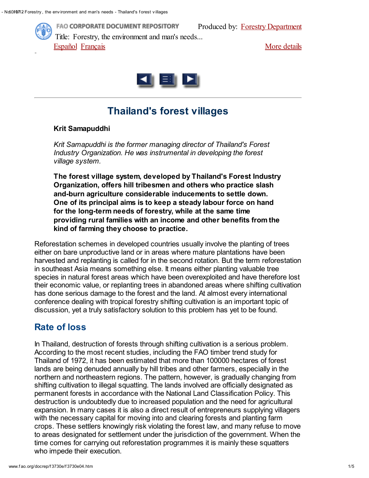

FAO CORPORATE DOCUMENT REPOSITORY Title: Forestry, the environment and man's needs...

Produced by: Forestry [Department](http://www.fao.org/forestry/en/)

[Español](http://www.fao.org/docrep/f3730s/f3730s00.htm) [Français](http://www.fao.org/docrep/f3730f/f3730f00.htm) More [details](javascript:openWindow()



# Thailand's forest villages

#### Krit Samapuddhi

Krit Samapuddhi is the former managing director of Thailand's Forest Industry Organization. He was instrumental in developing the forest village system.

The forest village system, developed by Thailand's Forest Industry Organization, offers hill tribesmen and others who practice slash and-burn agriculture considerable inducements to settle down. One of its principal aims is to keep a steady labour force on hand for the long-term needs of forestry, while at the same time providing rural families with an income and other benefits from the kind of farming they choose to practice.

Reforestation schemes in developed countries usually involve the planting of trees either on bare unproductive land or in areas where mature plantations have been harvested and replanting is called for in the second rotation. But the term reforestation in southeast Asia means something else. It means either planting valuable tree species in natural forest areas which have been overexploited and have therefore lost their economic value, or replanting trees in abandoned areas where shifting cultivation has done serious damage to the forest and the land. At almost every international conference dealing with tropical forestry shifting cultivation is an important topic of discussion, yet a truly satisfactory solution to this problem has yet to be found.

### Rate of loss

In Thailand, destruction of forests through shifting cultivation is a serious problem. According to the most recent studies, including the FAO timber trend study for Thailand of 1972, it has been estimated that more than 100000 hectares of forest lands are being denuded annually by hill tribes and other farmers, especially in the northern and northeastern regions. The pattern, however, is gradually changing from shifting cultivation to illegal squatting. The lands involved are officially designated as permanent forests in accordance with the National Land Classification Policy. This destruction is undoubtedly due to increased population and the need for agricultural expansion. In many cases it is also a direct result of entrepreneurs supplying villagers with the necessary capital for moving into and clearing forests and planting farm crops. These settlers knowingly risk violating the forest law, and many refuse to move to areas designated for settlement under the jurisdiction of the government. When the time comes for carrying out reforestation programmes it is mainly these squatters who impede their execution.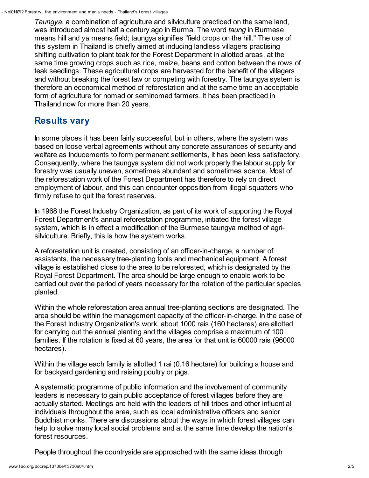Taungya, a combination of agriculture and silviculture practiced on the same land, was introduced almost half a century ago in Burma. The word *taung* in Burmese means hill and ya means field; taungya signifies "field crops on the hill." The use of this system in Thailand is chiefly aimed at inducing landless villagers practising shifting cultivation to plant teak for the Forest Department in allotted areas, at the same time growing crops such as rice, maize, beans and cotton between the rows of teak seedlings. These agricultural crops are harvested for the benefit of the villagers and without breaking the forest law or competing with forestry. The taungya system is therefore an economical method of reforestation and at the same time an acceptable form of agriculture for nomad or seminomad farmers. It has been practiced in Thailand now for more than 20 years.

### Results vary

In some places it has been fairly successful, but in others, where the system was based on loose verbal agreements without any concrete assurances of security and welfare as inducements to form permanent settlements, it has been less satisfactory. Consequently, where the taungya system did not work properly the labour supply for forestry was usually uneven, sometimes abundant and sometimes scarce. Most of the reforestation work of the Forest Department has therefore to rely on direct employment of labour, and this can encounter opposition from illegal squatters who firmly refuse to quit the forest reserves.

In 1968 the Forest Industry Organization, as part of its work of supporting the Royal Forest Department's annual reforestation programme, initiated the forest village system, which is in effect a modification of the Burmese taungya method of agrisilviculture. Briefly, this is how the system works.

A reforestation unit is created, consisting of an officer-in-charge, a number of assistants, the necessary tree-planting tools and mechanical equipment. A forest village is established close to the area to be reforested, which is designated by the Royal Forest Department. The area should be large enough to enable work to be carried out over the period of years necessary for the rotation of the particular species planted.

Within the whole reforestation area annual tree-planting sections are designated. The area should be within the management capacity of the officer-in-charge. In the case of the Forest Industry Organization's work, about 1000 rais (160 hectares) are allotted for carrying out the annual planting and the villages comprise a maximum of 100 families. If the rotation is fixed at 60 years, the area for that unit is 60000 rais (96000 hectares).

Within the village each family is allotted 1 rai (0.16 hectare) for building a house and for backyard gardening and raising poultry or pigs.

A systematic programme of public information and the involvement of community leaders is necessary to gain public acceptance of forest villages before they are actually started. Meetings are held with the leaders of hill tribes and other influential individuals throughout the area, such as local administrative officers and senior Buddhist monks. There are discussions about the ways in which forest villages can help to solve many local social problems and at the same time develop the nation's forest resources.

People throughout the countryside are approached with the same ideas through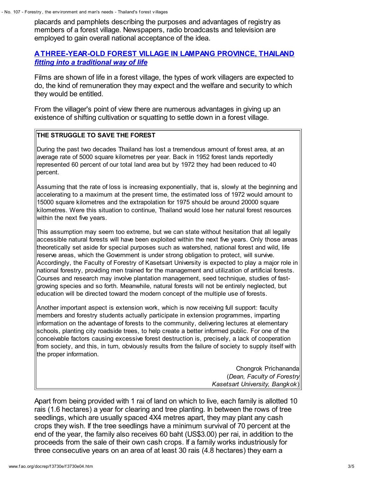placards and pamphlets describing the purposes and advantages of registry as members of a forest village. Newspapers, radio broadcasts and television are employed to gain overall national acceptance of the idea.

#### A [THREE-YEAR-OLD](http://www.fao.org/docrep/f3730e/f3730e0a.jpg) FOREST VILLAGE IN LAMPANG PROVINCE, THAILAND fitting into a traditional way of life

Films are shown of life in a forest village, the types of work villagers are expected to do, the kind of remuneration they may expect and the welfare and security to which they would be entitled.

From the villager's point of view there are numerous advantages in giving up an existence of shifting cultivation or squatting to settle down in a forest village.

#### THE STRUGGLE TO SAVE THE FOREST

During the past two decades Thailand has lost a tremendous amount of forest area, at an average rate of 5000 square kilometres per year. Back in 1952 forest lands reportedly represented 60 percent of our total land area but by 1972 they had been reduced to 40 percent.

Assuming that the rate of loss is increasing exponentially, that is, slowly at the beginning and accelerating to a maximum at the present time, the estimated loss of 1972 would amount to 15000 square kilometres and the extrapolation for 1975 should be around 20000 square kilometres. Were this situation to continue, Thailand would lose her natural forest resources within the next five years.

This assumption may seem too extreme, but we can state without hesitation that all legally accessible natural forests will have been exploited within the next five years. Only those areas theoretically set aside for special purposes such as watershed, national forest and wild, life reserve areas, which the Government is under strong obligation to protect, will survive. Accordingly, the Faculty of Forestry of Kasetsart University is expected to play a major role in national forestry, providing men trained for the management and utilization of artificial forests. Courses and research may involve plantation management, seed technique, studies of fastgrowing species and so forth. Meanwhile, natural forests will not be entirely neglected, but education will be directed toward the modern concept of the multiple use of forests.

Another important aspect is extension work, which is now receiving full support: faculty members and forestry students actually participate in extension programmes, imparting information on the advantage of forests to the community, delivering lectures at elementary schools, planting city roadside trees, to help create a better informed public. For one of the conceivable factors causing excessive forest destruction is, precisely, a lack of cooperation from society, and this, in turn, obviously results from the failure of society to supply itself with the proper information.

> Chongrok Prichananda (Dean, Faculty of Forestry Kasetsart University, Bangkok)

Apart from being provided with 1 rai of land on which to live, each family is allotted 10 rais (1.6 hectares) a year for clearing and tree planting. In between the rows of tree seedlings, which are usually spaced 4X4 metres apart, they may plant any cash crops they wish. If the tree seedlings have a minimum survival of 70 percent at the end of the year, the family also receives 60 baht (US\$3.00) per rai, in addition to the proceeds from the sale of their own cash crops. If a family works industriously for three consecutive years on an area of at least 30 rais (4.8 hectares) they earn a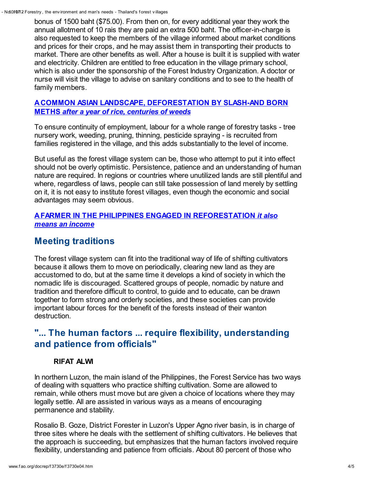bonus of 1500 baht (\$75.00). From then on, for every additional year they work the annual allotment of 10 rais they are paid an extra 500 baht. The officer-in-charge is also requested to keep the members of the village informed about market conditions and prices for their crops, and he may assist them in transporting their products to market. There are other benefits as well. After a house is built it is supplied with water and electricity. Children are entitled to free education in the village primary school, which is also under the sponsorship of the Forest Industry Organization. A doctor or nurse will visit the village to advise on sanitary conditions and to see to the health of family members.

#### A COMMON ASIAN LANDSCAPE, [DEFORESTATION](http://www.fao.org/docrep/f3730e/f3730e0b.jpg) BY SLASH-AND BORN METHS after a year of rice, centuries of weeds

To ensure continuity of employment, labour for a whole range of forestry tasks - tree nursery work, weeding, pruning, thinning, pesticide spraying - is recruited from families registered in the village, and this adds substantially to the level of income.

But useful as the forest village system can be, those who attempt to put it into effect should not be overly optimistic. Persistence, patience and an understanding of human nature are required. In regions or countries where unutilized lands are still plentiful and where, regardless of laws, people can still take possession of land merely by settling on it, it is not easy to institute forest villages, even though the economic and social advantages may seem obvious.

#### A FARMER IN THE PHILIPPINES ENGAGED IN [REFORESTATION](http://www.fao.org/docrep/f3730e/f3730e0c.jpg) it also means an income

## Meeting traditions

The forest village system can fit into the traditional way of life of shifting cultivators because it allows them to move on periodically, clearing new land as they are accustomed to do, but at the same time it develops a kind of society in which the nomadic life is discouraged. Scattered groups of people, nomadic by nature and tradition and therefore difficult to control, to guide and to educate, can be drawn together to form strong and orderly societies, and these societies can provide important labour forces for the benefit of the forests instead of their wanton destruction.

### "... The human factors ... require flexibility, understanding and patience from officials"

#### RIFAT ALWI

In northern Luzon, the main island of the Philippines, the Forest Service has two ways of dealing with squatters who practice shifting cultivation. Some are allowed to remain, while others must move but are given a choice of locations where they may legally settle. All are assisted in various ways as a means of encouraging permanence and stability.

Rosalio B. Goze, District Forester in Luzon's Upper Agno river basin, is in charge of three sites where he deals with the settlement of shifting cultivators. He believes that the approach is succeeding, but emphasizes that the human factors involved require flexibility, understanding and patience from officials. About 80 percent of those who